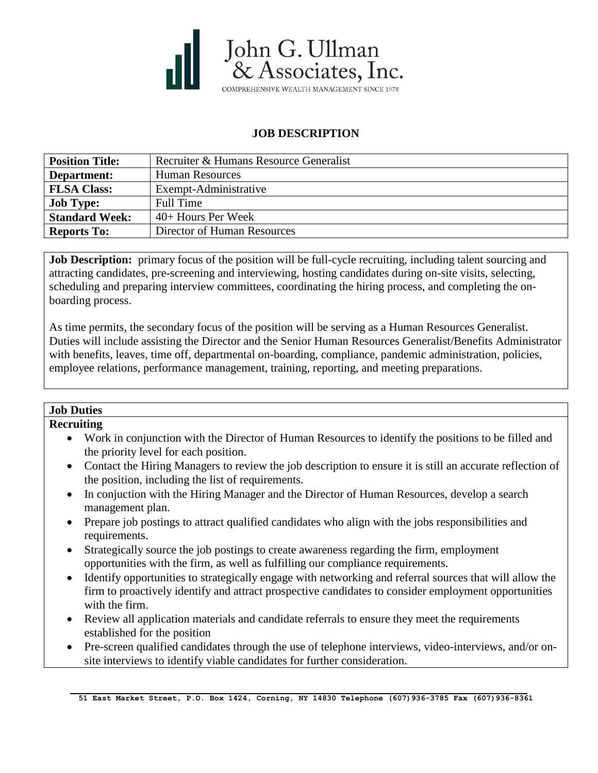

# **JOB DESCRIPTION**

| <b>Position Title:</b> | Recruiter & Humans Resource Generalist |
|------------------------|----------------------------------------|
| Department:            | <b>Human Resources</b>                 |
| <b>FLSA Class:</b>     | Exempt-Administrative                  |
| <b>Job Type:</b>       | <b>Full Time</b>                       |
| <b>Standard Week:</b>  | $40+$ Hours Per Week                   |
| <b>Reports To:</b>     | Director of Human Resources            |

**Job Description:** primary focus of the position will be full-cycle recruiting, including talent sourcing and attracting candidates, pre-screening and interviewing, hosting candidates during on-site visits, selecting, scheduling and preparing interview committees, coordinating the hiring process, and completing the onboarding process.

As time permits, the secondary focus of the position will be serving as a Human Resources Generalist. Duties will include assisting the Director and the Senior Human Resources Generalist/Benefits Administrator with benefits, leaves, time off, departmental on-boarding, compliance, pandemic administration, policies, employee relations, performance management, training, reporting, and meeting preparations.

### **Job Duties**

#### **Recruiting**

- Work in conjunction with the Director of Human Resources to identify the positions to be filled and the priority level for each position.
- Contact the Hiring Managers to review the job description to ensure it is still an accurate reflection of the position, including the list of requirements.
- In conjuction with the Hiring Manager and the Director of Human Resources, develop a search management plan.
- Prepare job postings to attract qualified candidates who align with the jobs responsibilities and requirements.
- Strategically source the job postings to create awareness regarding the firm, employment opportunities with the firm, as well as fulfilling our compliance requirements.
- Identify opportunities to strategically engage with networking and referral sources that will allow the firm to proactively identify and attract prospective candidates to consider employment opportunities with the firm.
- Review all application materials and candidate referrals to ensure they meet the requirements established for the position
- Pre-screen qualified candidates through the use of telephone interviews, video-interviews, and/or onsite interviews to identify viable candidates for further consideration.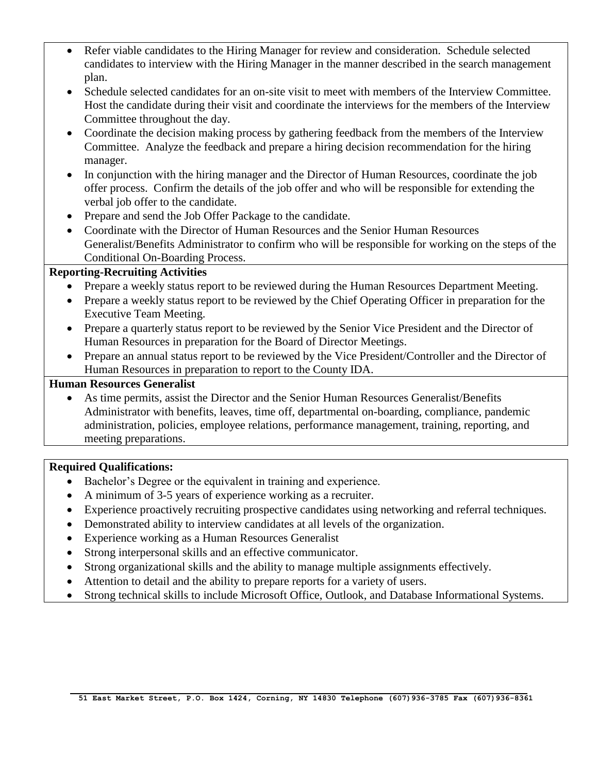- Refer viable candidates to the Hiring Manager for review and consideration. Schedule selected candidates to interview with the Hiring Manager in the manner described in the search management plan.
- Schedule selected candidates for an on-site visit to meet with members of the Interview Committee. Host the candidate during their visit and coordinate the interviews for the members of the Interview Committee throughout the day.
- Coordinate the decision making process by gathering feedback from the members of the Interview Committee. Analyze the feedback and prepare a hiring decision recommendation for the hiring manager.
- In conjunction with the hiring manager and the Director of Human Resources, coordinate the job offer process. Confirm the details of the job offer and who will be responsible for extending the verbal job offer to the candidate.
- Prepare and send the Job Offer Package to the candidate.
- Coordinate with the Director of Human Resources and the Senior Human Resources Generalist/Benefits Administrator to confirm who will be responsible for working on the steps of the Conditional On-Boarding Process.

## **Reporting-Recruiting Activities**

- Prepare a weekly status report to be reviewed during the Human Resources Department Meeting.
- Prepare a weekly status report to be reviewed by the Chief Operating Officer in preparation for the Executive Team Meeting.
- Prepare a quarterly status report to be reviewed by the Senior Vice President and the Director of Human Resources in preparation for the Board of Director Meetings.
- Prepare an annual status report to be reviewed by the Vice President/Controller and the Director of Human Resources in preparation to report to the County IDA.

### **Human Resources Generalist**

 As time permits, assist the Director and the Senior Human Resources Generalist/Benefits Administrator with benefits, leaves, time off, departmental on-boarding, compliance, pandemic administration, policies, employee relations, performance management, training, reporting, and meeting preparations.

### **Required Qualifications:**

- Bachelor's Degree or the equivalent in training and experience.
- A minimum of 3-5 years of experience working as a recruiter.
- Experience proactively recruiting prospective candidates using networking and referral techniques.
- Demonstrated ability to interview candidates at all levels of the organization.
- Experience working as a Human Resources Generalist
- Strong interpersonal skills and an effective communicator.
- Strong organizational skills and the ability to manage multiple assignments effectively.
- Attention to detail and the ability to prepare reports for a variety of users.
- Strong technical skills to include Microsoft Office, Outlook, and Database Informational Systems.